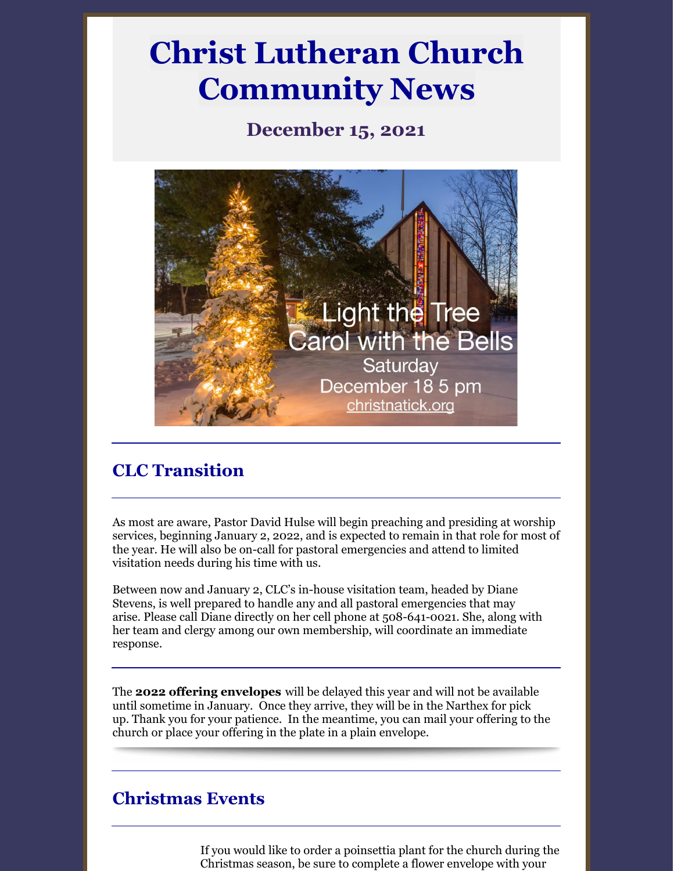# **Christ Lutheran Church Community News**

## **December 15, 2021**



## **CLC Transition**

As most are aware, Pastor David Hulse will begin preaching and presiding at worship services, beginning January 2, 2022, and is expected to remain in that role for most of the year. He will also be on-call for pastoral emergencies and attend to limited visitation needs during his time with us.

Between now and January 2, CLC's in-house visitation team, headed by Diane Stevens, is well prepared to handle any and all pastoral emergencies that may arise. Please call Diane directly on her cell phone at 508-641-0021. She, along with her team and clergy among our own membership, will coordinate an immediate response.

The **2022 offering envelopes** will be delayed this year and will not be available until sometime in January. Once they arrive, they will be in the Narthex for pick up. Thank you for your patience. In the meantime, you can mail your offering to the church or place your offering in the plate in a plain envelope.

## **Christmas Events**

If you would like to order a poinsettia plant for the church during the Christmas season, be sure to complete a flower envelope with your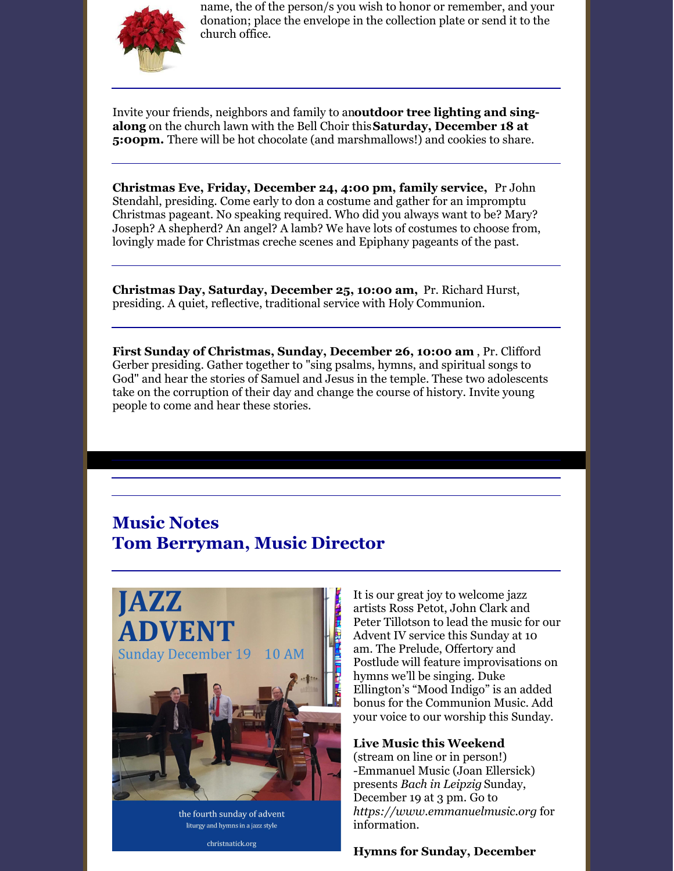

name, the of the person/s you wish to honor or remember, and your donation; place the envelope in the collection plate or send it to the church office.

Invite your friends, neighbors and family to an**outdoor tree lighting and singalong** on the church lawn with the Bell Choir this**Saturday, December 18 at 5:00pm.** There will be hot chocolate (and marshmallows!) and cookies to share.

**Christmas Eve, Friday, December 24, 4:00 pm, family service,** Pr John Stendahl, presiding. Come early to don a costume and gather for an impromptu Christmas pageant. No speaking required. Who did you always want to be? Mary? Joseph? A shepherd? An angel? A lamb? We have lots of costumes to choose from, lovingly made for Christmas creche scenes and Epiphany pageants of the past.

**Christmas Day, Saturday, December 25, 10:00 am,** Pr. Richard Hurst, presiding. A quiet, reflective, traditional service with Holy Communion.

**First Sunday of Christmas, Sunday, December 26, 10:00 am** , Pr. Clifford Gerber presiding. Gather together to "sing psalms, hymns, and spiritual songs to God" and hear the stories of Samuel and Jesus in the temple. These two adolescents take on the corruption of their day and change the course of history. Invite young people to come and hear these stories.

## **Music Notes Tom Berryman, Music Director**



the fourth sunday of advent liturgy and hymns in a jazz style

christnatick.org

It is our great joy to welcome jazz artists Ross Petot, John Clark and Peter Tillotson to lead the music for our Advent IV service this Sunday at 10 am. The Prelude, Offertory and Postlude will feature improvisations on hymns we'll be singing. Duke Ellington's "Mood Indigo" is an added bonus for the Communion Music. Add your voice to our worship this Sunday.

**Live Music this Weekend** (stream on line or in person!) -Emmanuel Music (Joan Ellersick) presents *Bach in Leipzig* Sunday, December 19 at 3 pm. Go to *[https://www.emmanuelmusic.org](https://www.emmanuelmusic.org/)* for information.

**Hymns for Sunday, December**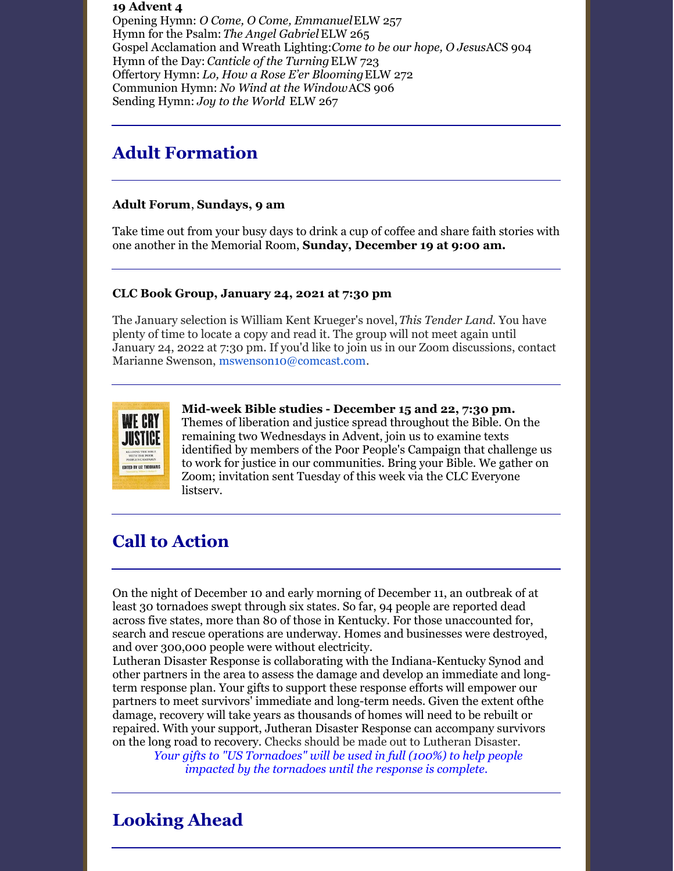#### **19 Advent 4**

Opening Hymn: *O Come, O Come, Emmanuel*ELW 257 Hymn for the Psalm:*The Angel Gabriel*ELW 265 Gospel Acclamation and Wreath Lighting:*Come to be our hope, O Jesus*ACS 904 Hymn of the Day: *Canticle of the Turning*ELW 723 Offertory Hymn: *Lo, How a Rose E'er Blooming*ELW 272 Communion Hymn: *No Wind at the Window*ACS 906 Sending Hymn: *Joy to the World* ELW 267

## **Adult Formation**

#### **Adult Forum**, **Sundays, 9 am**

Take time out from your busy days to drink a cup of coffee and share faith stories with one another in the Memorial Room, **Sunday, December 19 at 9:00 am.**

#### **CLC Book Group, January 24, 2021 at 7:30 pm**

The January selection is William Kent Krueger's novel,*This Tender Land.* You have plenty of time to locate a copy and read it. The group will not meet again until January 24, 2022 at 7:30 pm. If you'd like to join us in our Zoom discussions, contact Marianne Swenson, [mswenson10@comcast.com](mailto:mswenson10@comcast.com).



#### **Mid-week Bible studies - December 15 and 22, 7:30 pm.**

Themes of liberation and justice spread throughout the Bible. On the remaining two Wednesdays in Advent, join us to examine texts identified by members of the Poor People's Campaign that challenge us to work for justice in our communities. Bring your Bible. We gather on Zoom; invitation sent Tuesday of this week via the CLC Everyone listserv.

## **Call to Action**

On the night of December 10 and early morning of December 11, an outbreak of at least 30 tornadoes swept through six states. So far, 94 people are reported dead across five states, more than 80 of those in Kentucky. For those unaccounted for, search and rescue operations are underway. Homes and businesses were destroyed, and over 300,000 people were without electricity.

Lutheran Disaster Response is collaborating with the Indiana-Kentucky Synod and other partners in the area to assess the damage and develop an immediate and longterm response plan. Your gifts to support these response efforts will empower our partners to meet survivors' immediate and long-term needs. Given the extent ofthe damage, recovery will take years as thousands of homes will need to be rebuilt or repaired. With your support, Jutheran Disaster Response can accompany survivors on the long road to recovery. Checks should be made out to Lutheran Disaster.

*Your gifts to "US [Tornadoes"](https://community.elca.org/USTornadoRelief?erid=bb6407de-b871-41cb-8dc0-a9d67955f8aa&trid=bb6407de-b871-41cb-8dc0-a9d67955f8aa) will be used in full (100%) to help people impacted by the [tornadoes](https://community.elca.org/USTornadoRelief?erid=bb6407de-b871-41cb-8dc0-a9d67955f8aa&trid=bb6407de-b871-41cb-8dc0-a9d67955f8aa) until the response is complete.*

## **Looking Ahead**